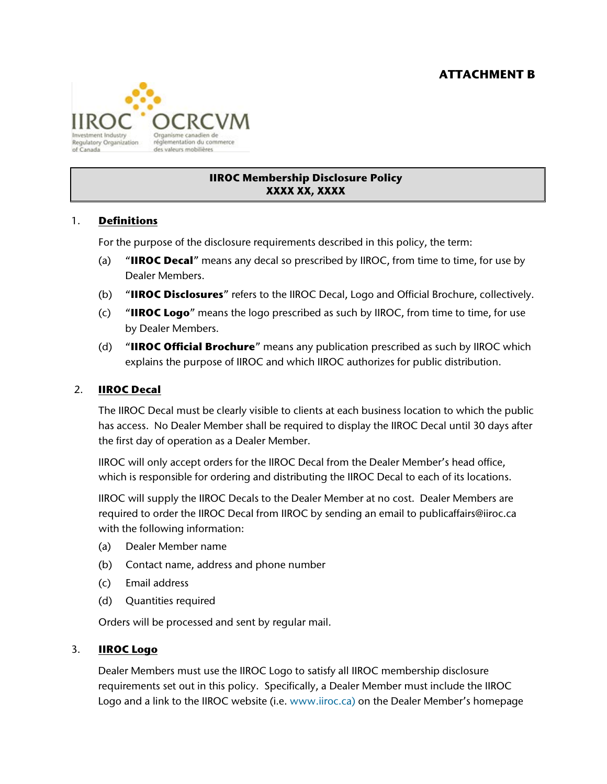

## **IIROC Membership Disclosure Policy XXXX XX, XXXX**

### 1. **Definitions**

For the purpose of the disclosure requirements described in this policy, the term:

- (a) "**IIROC Decal**" means any decal so prescribed by IIROC, from time to time, for use by Dealer Members.
- (b) "**IIROC Disclosures**" refers to the IIROC Decal, Logo and Official Brochure, collectively.
- (c) "**IIROC Logo**" means the logo prescribed as such by IIROC, from time to time, for use by Dealer Members.
- (d) "**IIROC Official Brochure**" means any publication prescribed as such by IIROC which explains the purpose of IIROC and which IIROC authorizes for public distribution.

### 2. **IIROC Decal**

The IIROC Decal must be clearly visible to clients at each business location to which the public has access. No Dealer Member shall be required to display the IIROC Decal until 30 days after the first day of operation as a Dealer Member.

IIROC will only accept orders for the IIROC Decal from the Dealer Member's head office, which is responsible for ordering and distributing the IIROC Decal to each of its locations.

IIROC will supply the IIROC Decals to the Dealer Member at no cost. Dealer Members are required to order the IIROC Decal from IIROC by sending an email to publicaffairs@iiroc.ca with the following information:

- (a) Dealer Member name
- (b) Contact name, address and phone number
- (c) Email address
- (d) Quantities required

Orders will be processed and sent by regular mail.

#### 3. **IIROC Logo**

Dealer Members must use the IIROC Logo to satisfy all IIROC membership disclosure requirements set out in this policy. Specifically, a Dealer Member must include the IIROC Logo and a link to the IIROC website (i.e. [www.iiroc.ca\)](http://www.iiroc.ca/) on the Dealer Member's homepage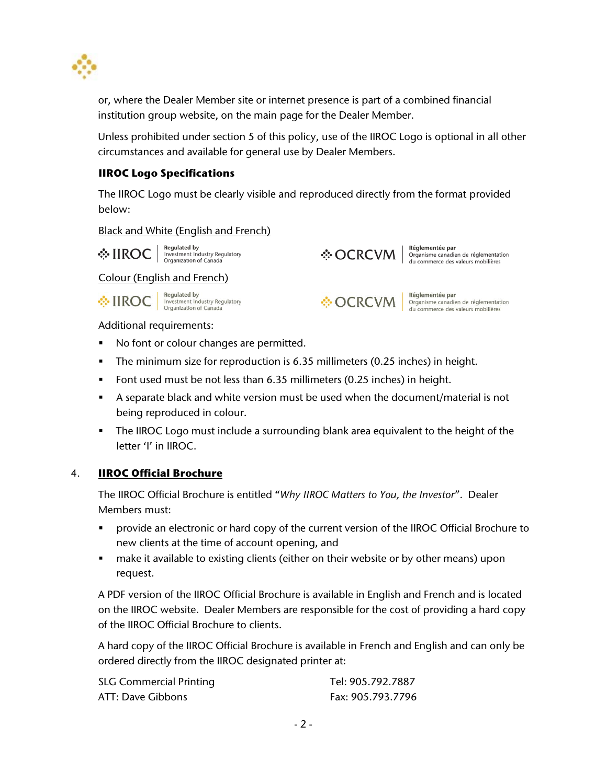

or, where the Dealer Member site or internet presence is part of a combined financial institution group website, on the main page for the Dealer Member.

Unless prohibited under section 5 of this policy, use of the IIROC Logo is optional in all other circumstances and available for general use by Dealer Members.

# **IIROC Logo Specifications**

The IIROC Logo must be clearly visible and reproduced directly from the format provided below:

#### Black and White (English and French)

 $\cdot \cdot \cdot$   $\text{HROC}$  Regulated by Investment Industry Regulatory

**☆OCRCVM** 

Réglementée par Organisme canadien de réglementation<br>du commerce des valeurs mobilières

# Colour (English and French)

**And Separated By Are Sequilated by**<br> **IROC** | Investment Industry Regulatory<br> **IROC** | Organization of Canada



Réglementée par Organisme canadien de réglementation<br>du commerce des valeurs mobilières

Additional requirements:

- No font or colour changes are permitted.
- The minimum size for reproduction is 6.35 millimeters (0.25 inches) in height.
- Font used must be not less than 6.35 millimeters (0.25 inches) in height.
- A separate black and white version must be used when the document/material is not being reproduced in colour.
- The IIROC Logo must include a surrounding blank area equivalent to the height of the letter 'I' in IIROC.

### 4. **IIROC Official Brochure**

The IIROC Official Brochure is entitled "*Why IIROC Matters to You, the Investor*". Dealer Members must:

- provide an electronic or hard copy of the current version of the IIROC Official Brochure to new clients at the time of account opening, and
- make it available to existing clients (either on their website or by other means) upon request.

A PDF version of the IIROC Official Brochure is available in English and French and is located on the IIROC website. Dealer Members are responsible for the cost of providing a hard copy of the IIROC Official Brochure to clients.

A hard copy of the IIROC Official Brochure is available in French and English and can only be ordered directly from the IIROC designated printer at:

| <b>SLG Commercial Printing</b> | Tel: 905.792.7887 |
|--------------------------------|-------------------|
| ATT: Dave Gibbons              | Fax: 905.793.7796 |